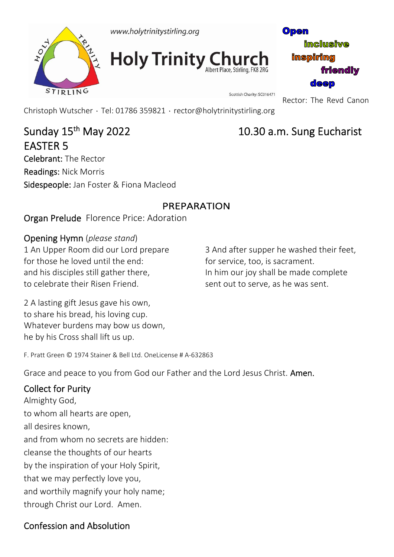

**Holy Trinity Church** 

Open **inclusive inspiring friendly** deep

Scottish Charity: SC016471 Rector: The Revd Canon

Christoph Wutscher ۰ Tel: 01786 359821 ۰ rector@holytrinitystirling.org

# Sunday 15th May 2022 10.30 a.m. Sung Eucharist EASTER 5

Celebrant: The Rector Readings: Nick Morris Sidespeople: Jan Foster & Fiona Macleod

### PREPARATION

Organ Prelude Florence Price: Adoration

### Opening Hymn (*please stand*)

1 An Upper Room did our Lord prepare for those he loved until the end: and his disciples still gather there, to celebrate their Risen Friend.

3 And after supper he washed their feet, for service, too, is sacrament. In him our joy shall be made complete sent out to serve, as he was sent.

2 A lasting gift Jesus gave his own, to share his bread, his loving cup. Whatever burdens may bow us down, he by his Cross shall lift us up.

F. Pratt Green © 1974 Stainer & Bell Ltd. OneLicense # A‐632863

Grace and peace to you from God our Father and the Lord Jesus Christ. Amen.

## Collect for Purity

Almighty God, to whom all hearts are open, all desires known, and from whom no secrets are hidden: cleanse the thoughts of our hearts by the inspiration of your Holy Spirit, that we may perfectly love you, and worthily magnify your holy name; through Christ our Lord. Amen.

## Confession and Absolution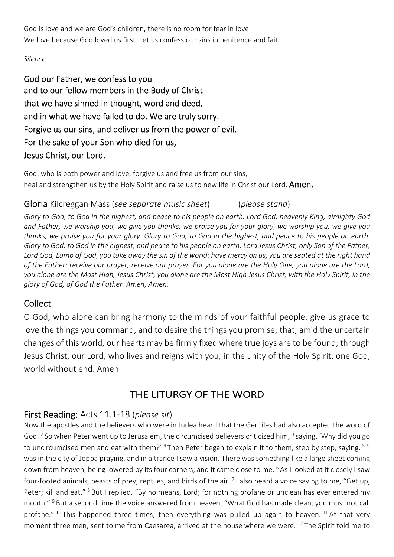God is love and we are God's children, there is no room for fear in love. We love because God loved us first. Let us confess our sins in penitence and faith.

#### *Silence*

God our Father, we confess to you and to our fellow members in the Body of Christ that we have sinned in thought, word and deed, and in what we have failed to do. We are truly sorry. Forgive us our sins, and deliver us from the power of evil. For the sake of your Son who died for us, Jesus Christ, our Lord.

God, who is both power and love, forgive us and free us from our sins, heal and strengthen us by the Holy Spirit and raise us to new life in Christ our Lord. **Amen.** 

#### Gloria Kilcreggan Mass (*see separate music sheet*) (*please stand*)

*Glory to God, to God in the highest, and peace to his people on earth. Lord God, heavenly King, almighty God and Father, we worship you, we give you thanks, we praise you for your glory, we worship you, we give you thanks, we praise you for your glory. Glory to God, to God in the highest, and peace to his people on earth. Glory to God, to God in the highest, and peace to his people on earth. Lord Jesus Christ, only Son of the Father, Lord God, Lamb of God, you take away the sin of the world: have mercy on us, you are seated at the right hand of the Father: receive our prayer, receive our prayer. For you alone are the Holy One, you alone are the Lord, you alone are the Most High, Jesus Christ, you alone are the Most High Jesus Christ, with the Holy Spirit, in the glory of God, of God the Father. Amen, Amen.*

#### Collect

O God, who alone can bring harmony to the minds of your faithful people: give us grace to love the things you command, and to desire the things you promise; that, amid the uncertain changes of this world, our hearts may be firmly fixed where true joys are to be found; through Jesus Christ, our Lord, who lives and reigns with you, in the unity of the Holy Spirit, one God, world without end. Amen.

#### THE LITURGY OF THE WORD

#### First Reading: Acts 11.1‐18 (*please sit*)

Now the apostles and the believers who were in Judea heard that the Gentiles had also accepted the word of God. <sup>2</sup> So when Peter went up to Jerusalem, the circumcised believers criticized him,  $3$  saying, 'Why did you go to uncircumcised men and eat with them?' <sup>4</sup> Then Peter began to explain it to them, step by step, saying, <sup>5</sup> 'l was in the city of Joppa praying, and in a trance I saw a vision. There was something like a large sheet coming down from heaven, being lowered by its four corners; and it came close to me. 6 As I looked at it closely I saw four-footed animals, beasts of prey, reptiles, and birds of the air. <sup>7</sup>I also heard a voice saying to me, "Get up, Peter; kill and eat." <sup>8</sup> But I replied, "By no means, Lord; for nothing profane or unclean has ever entered my mouth." <sup>9</sup> But a second time the voice answered from heaven, "What God has made clean, you must not call profane." <sup>10</sup> This happened three times; then everything was pulled up again to heaven. <sup>11</sup> At that very moment three men, sent to me from Caesarea, arrived at the house where we were. 12 The Spirit told me to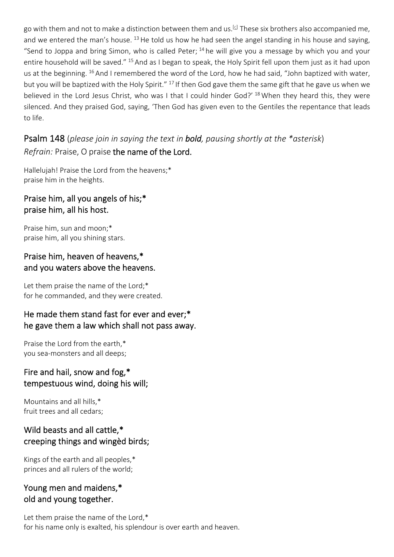go with them and not to make a distinction between them and us.<sup>[c]</sup> These six brothers also accompanied me, and we entered the man's house. <sup>13</sup> He told us how he had seen the angel standing in his house and saying, "Send to Joppa and bring Simon, who is called Peter; <sup>14</sup> he will give you a message by which you and your entire household will be saved." 15 And as I began to speak, the Holy Spirit fell upon them just as it had upon us at the beginning. <sup>16</sup> And I remembered the word of the Lord, how he had said, "John baptized with water, but you will be baptized with the Holy Spirit." 17 If then God gave them the same gift that he gave us when we believed in the Lord Jesus Christ, who was I that I could hinder God?' <sup>18</sup> When they heard this, they were silenced. And they praised God, saying, 'Then God has given even to the Gentiles the repentance that leads to life.

### Psalm 148 (*please join in saying the text in bold, pausing shortly at the \*asterisk*) *Refrain:* Praise, O praise the name of the Lord.

Hallelujah! Praise the Lord from the heavens;\* praise him in the heights.

#### Praise him, all you angels of his;\* praise him, all his host.

Praise him, sun and moon;\* praise him, all you shining stars.

#### Praise him, heaven of heavens,\* and you waters above the heavens.

Let them praise the name of the Lord;\* for he commanded, and they were created.

#### He made them stand fast for ever and ever;\* he gave them a law which shall not pass away.

Praise the Lord from the earth,\* you sea‐monsters and all deeps;

#### Fire and hail, snow and fog,\* tempestuous wind, doing his will;

Mountains and all hills,\* fruit trees and all cedars;

#### Wild beasts and all cattle,\* creeping things and wingèd birds;

Kings of the earth and all peoples,\* princes and all rulers of the world;

### Young men and maidens,\* old and young together.

Let them praise the name of the Lord,\* for his name only is exalted, his splendour is over earth and heaven.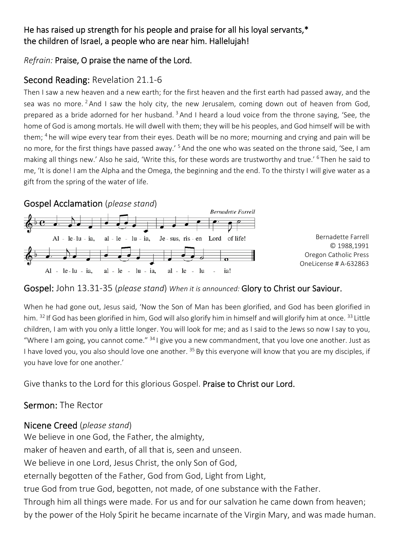#### He has raised up strength for his people and praise for all his loyal servants,\* the children of Israel, a people who are near him. Hallelujah!

#### *Refrain:* Praise, O praise the name of the Lord.

### Second Reading: Revelation 21.1‐6

Then I saw a new heaven and a new earth; for the first heaven and the first earth had passed away, and the sea was no more. <sup>2</sup> And I saw the holy city, the new Jerusalem, coming down out of heaven from God, prepared as a bride adorned for her husband. 3 And I heard a loud voice from the throne saying, 'See, the home of God is among mortals. He will dwell with them; they will be his peoples, and God himself will be with them; 4 he will wipe every tear from their eyes. Death will be no more; mourning and crying and pain will be no more, for the first things have passed away.' 5 And the one who was seated on the throne said, 'See, I am making all things new.' Also he said, 'Write this, for these words are trustworthy and true.' 6 Then he said to me, 'It is done! I am the Alpha and the Omega, the beginning and the end. To the thirsty I will give water as a gift from the spring of the water of life.

Gospel Acclamation (*please stand*)



#### Gospel: John 13.31‐35 (*please stand*) *When it is announced:* Glory to Christ our Saviour.

When he had gone out, Jesus said, 'Now the Son of Man has been glorified, and God has been glorified in him. <sup>32</sup> If God has been glorified in him, God will also glorify him in himself and will glorify him at once. <sup>33</sup> Little children, I am with you only a little longer. You will look for me; and as I said to the Jews so now I say to you, "Where I am going, you cannot come."  $34$  I give you a new commandment, that you love one another. Just as I have loved you, you also should love one another. <sup>35</sup> By this everyone will know that you are my disciples, if you have love for one another.'

Give thanks to the Lord for this glorious Gospel. Praise to Christ our Lord.

#### Sermon: The Rector

#### Nicene Creed (*please stand*)

We believe in one God, the Father, the almighty, maker of heaven and earth, of all that is, seen and unseen. We believe in one Lord, Jesus Christ, the only Son of God, eternally begotten of the Father, God from God, Light from Light, true God from true God, begotten, not made, of one substance with the Father. Through him all things were made. For us and for our salvation he came down from heaven; by the power of the Holy Spirit he became incarnate of the Virgin Mary, and was made human.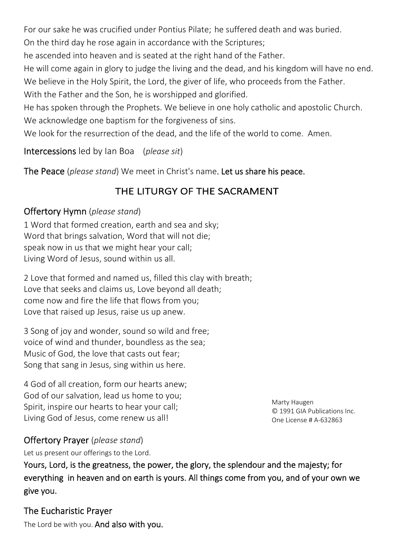For our sake he was crucified under Pontius Pilate; he suffered death and was buried.

On the third day he rose again in accordance with the Scriptures;

he ascended into heaven and is seated at the right hand of the Father.

He will come again in glory to judge the living and the dead, and his kingdom will have no end. We believe in the Holy Spirit, the Lord, the giver of life, who proceeds from the Father.

With the Father and the Son, he is worshipped and glorified.

He has spoken through the Prophets. We believe in one holy catholic and apostolic Church. We acknowledge one baptism for the forgiveness of sins.

We look for the resurrection of the dead, and the life of the world to come. Amen.

Intercessions led by Ian Boa (*please sit*)

The Peace (*please stand*) We meet in Christ's name.Let us share his peace.

## THE LITURGY OF THE SACRAMENT

### Offertory Hymn (*please stand*)

1 Word that formed creation, earth and sea and sky; Word that brings salvation, Word that will not die; speak now in us that we might hear your call; Living Word of Jesus, sound within us all.

2 Love that formed and named us, filled this clay with breath; Love that seeks and claims us, Love beyond all death; come now and fire the life that flows from you; Love that raised up Jesus, raise us up anew.

3 Song of joy and wonder, sound so wild and free; voice of wind and thunder, boundless as the sea; Music of God, the love that casts out fear; Song that sang in Jesus, sing within us here.

4 God of all creation, form our hearts anew; God of our salvation, lead us home to you; Spirit, inspire our hearts to hear your call; Living God of Jesus, come renew us all!

Marty Haugen © 1991 GIA Publications Inc. One License # A‐632863

## Offertory Prayer (*please stand*)

Let us present our offerings to the Lord.

Yours, Lord, is the greatness, the power, the glory, the splendour and the majesty; for everything in heaven and on earth is yours. All things come from you, and of your own we give you.

The Eucharistic Prayer

The Lord be with you. And also with you.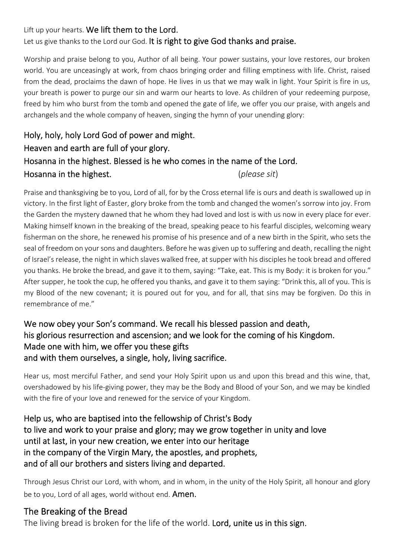#### Lift up your hearts. We lift them to the Lord. Let us give thanks to the Lord our God. It is right to give God thanks and praise.

Worship and praise belong to you, Author of all being. Your power sustains, your love restores, our broken world. You are unceasingly at work, from chaos bringing order and filling emptiness with life. Christ, raised from the dead, proclaims the dawn of hope. He lives in us that we may walk in light. Your Spirit is fire in us, your breath is power to purge our sin and warm our hearts to love. As children of your redeeming purpose, freed by him who burst from the tomb and opened the gate of life, we offer you our praise, with angels and archangels and the whole company of heaven, singing the hymn of your unending glory:

## Holy, holy, holy Lord God of power and might. Heaven and earth are full of your glory. Hosanna in the highest. Blessed is he who comes in the name of the Lord. Hosanna in the highest. (*please sit*)

Praise and thanksgiving be to you, Lord of all, for by the Cross eternal life is ours and death is swallowed up in victory. In the first light of Easter, glory broke from the tomb and changed the women's sorrow into joy. From the Garden the mystery dawned that he whom they had loved and lost is with us now in every place for ever. Making himself known in the breaking of the bread, speaking peace to his fearful disciples, welcoming weary fisherman on the shore, he renewed his promise of his presence and of a new birth in the Spirit, who sets the seal of freedom on your sons and daughters. Before he was given up to suffering and death, recalling the night of Israel's release, the night in which slaves walked free, at supper with his disciples he took bread and offered you thanks. He broke the bread, and gave it to them, saying: "Take, eat. This is my Body: it is broken for you." After supper, he took the cup, he offered you thanks, and gave it to them saying: "Drink this, all of you. This is my Blood of the new covenant; it is poured out for you, and for all, that sins may be forgiven. Do this in remembrance of me."

#### We now obey your Son's command. We recall his blessed passion and death, his glorious resurrection and ascension; and we look for the coming of his Kingdom. Made one with him, we offer you these gifts and with them ourselves, a single, holy, living sacrifice.

Hear us, most merciful Father, and send your Holy Spirit upon us and upon this bread and this wine, that, overshadowed by his life‐giving power, they may be the Body and Blood of your Son, and we may be kindled with the fire of your love and renewed for the service of your Kingdom.

Help us, who are baptised into the fellowship of Christ's Body to live and work to your praise and glory; may we grow together in unity and love until at last, in your new creation, we enter into our heritage in the company of the Virgin Mary, the apostles, and prophets, and of all our brothers and sisters living and departed.

Through Jesus Christ our Lord, with whom, and in whom, in the unity of the Holy Spirit, all honour and glory be to you, Lord of all ages, world without end. **Amen.** 

#### The Breaking of the Bread

The living bread is broken for the life of the world. Lord, unite us in this sign.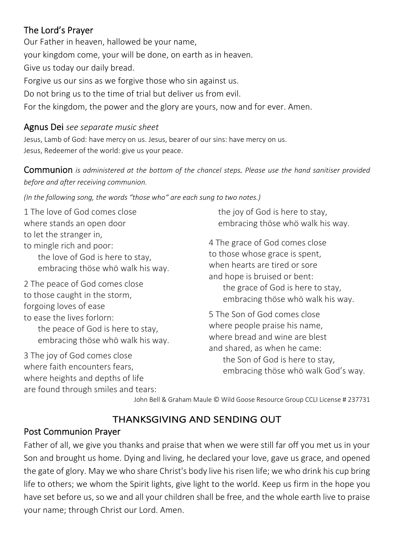### The Lord's Prayer

Our Father in heaven, hallowed be your name, your kingdom come, your will be done, on earth as in heaven. Give us today our daily bread. Forgive us our sins as we forgive those who sin against us. Do not bring us to the time of trial but deliver us from evil. For the kingdom, the power and the glory are yours, now and for ever. Amen.

#### Agnus Dei *see separate music sheet*

Jesus, Lamb of God: have mercy on us. Jesus, bearer of our sins: have mercy on us. Jesus, Redeemer of the world: give us your peace.

Communion *is administered at the bottom of the chancel steps. Please use the hand sanitiser provided before and after receiving communion.* 

*(In the following song, the words "those who" are each sung to two notes.)*

1 The love of God comes close where stands an open door to let the stranger in, to mingle rich and poor: the love of God is here to stay, embracing thöse whö walk his way. 2 The peace of God comes close to those caught in the storm, forgoing loves of ease to ease the lives forlorn: the peace of God is here to stay, embracing thöse whö walk his way. 3 The joy of God comes close where faith encounters fears, where heights and depths of life the joy of God is here to stay, embracing thöse whö walk his way. 4 The grace of God comes close to those whose grace is spent, when hearts are tired or sore and hope is bruised or bent: the grace of God is here to stay, embracing thöse whö walk his way. 5 The Son of God comes close where people praise his name, where bread and wine are blest and shared, as when he came: the Son of God is here to stay, embracing thöse whö walk God's way.

John Bell & Graham Maule © Wild Goose Resource Group CCLI License # 237731

## THANKSGIVING AND SENDING OUT

#### Post Communion Prayer

are found through smiles and tears:

Father of all, we give you thanks and praise that when we were still far off you met us in your Son and brought us home. Dying and living, he declared your love, gave us grace, and opened the gate of glory. May we who share Christ's body live his risen life; we who drink his cup bring life to others; we whom the Spirit lights, give light to the world. Keep us firm in the hope you have set before us, so we and all your children shall be free, and the whole earth live to praise your name; through Christ our Lord. Amen.